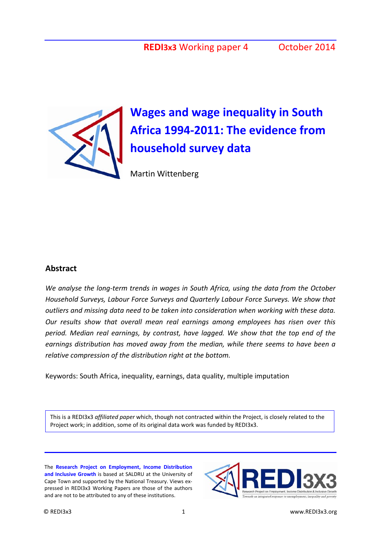

# **Wages and wage inequality in South Africa 1994-2011: The evidence from household survey data**

Martin Wittenberg

#### **Abstract**

*We analyse the long-term trends in wages in South Africa, using the data from the October Household Surveys, Labour Force Surveys and Quarterly Labour Force Surveys. We show that outliers and missing data need to be taken into consideration when working with these data. Our results show that overall mean real earnings among employees has risen over this period. Median real earnings, by contrast, have lagged. We show that the top end of the earnings distribution has moved away from the median, while there seems to have been a relative compression of the distribution right at the bottom.*

Keywords: South Africa, inequality, earnings, data quality, multiple imputation

This is a REDI3x3 *affiliated paper* which, though not contracted within the Project, is closely related to the Project work; in addition, some of its original data work was funded by REDI3x3.

The **Research Project on Employment, Income Distribution and Inclusive Growth** is based at SALDRU at the University of Cape Town and supported by the National Treasury. Views expressed in REDI3x3 Working Papers are those of the authors and are not to be attributed to any of these institutions.

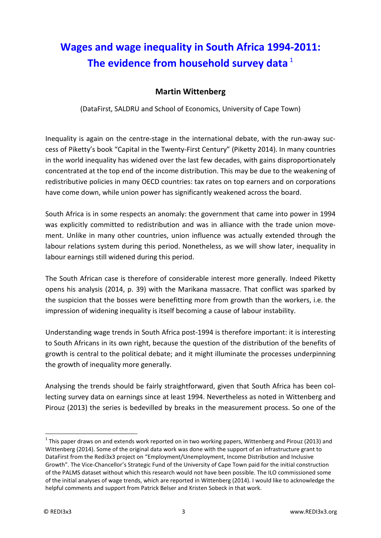## **Wages and wage inequality in South Africa 1994-2011:**  The evidence from household survey data<sup>[1](#page-2-0)</sup>

## **Martin Wittenberg**

(DataFirst, SALDRU and School of Economics, University of Cape Town)

Inequality is again on the centre-stage in the international debate, with the run-away success of Piketty's book "Capital in the Twenty-First Century" (Piketty 2014). In many countries in the world inequality has widened over the last few decades, with gains disproportionately concentrated at the top end of the income distribution. This may be due to the weakening of redistributive policies in many OECD countries: tax rates on top earners and on corporations have come down, while union power has significantly weakened across the board.

South Africa is in some respects an anomaly: the government that came into power in 1994 was explicitly committed to redistribution and was in alliance with the trade union movement. Unlike in many other countries, union influence was actually extended through the labour relations system during this period. Nonetheless, as we will show later, inequality in labour earnings still widened during this period.

The South African case is therefore of considerable interest more generally. Indeed Piketty opens his analysis (2014, p. 39) with the Marikana massacre. That conflict was sparked by the suspicion that the bosses were benefitting more from growth than the workers, i.e. the impression of widening inequality is itself becoming a cause of labour instability.

Understanding wage trends in South Africa post-1994 is therefore important: it is interesting to South Africans in its own right, because the question of the distribution of the benefits of growth is central to the political debate; and it might illuminate the processes underpinning the growth of inequality more generally.

Analysing the trends should be fairly straightforward, given that South Africa has been collecting survey data on earnings since at least 1994. Nevertheless as noted in Wittenberg and Pirouz (2013) the series is bedevilled by breaks in the measurement process. So one of the

<u>.</u>

<span id="page-2-0"></span> $1$  This paper draws on and extends work reported on in two working papers, Wittenberg and Pirouz (2013) and Wittenberg (2014). Some of the original data work was done with the support of an infrastructure grant to DataFirst from the Redi3x3 project on "Employment/Unemployment, Income Distribution and Inclusive Growth". The Vice-Chancellor's Strategic Fund of the University of Cape Town paid for the initial construction of the PALMS dataset without which this research would not have been possible. The ILO commissioned some of the initial analyses of wage trends, which are reported in Wittenberg (2014). I would like to acknowledge the helpful comments and support from Patrick Belser and Kristen Sobeck in that work.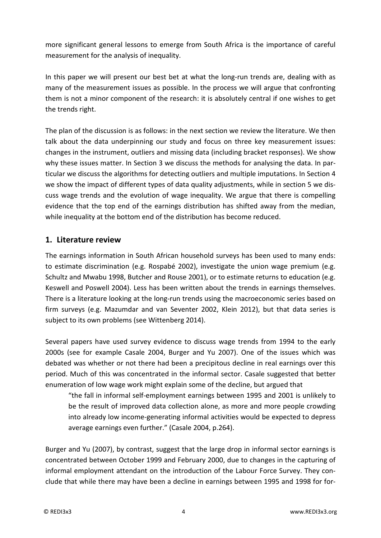more significant general lessons to emerge from South Africa is the importance of careful measurement for the analysis of inequality.

In this paper we will present our best bet at what the long-run trends are, dealing with as many of the measurement issues as possible. In the process we will argue that confronting them is not a minor component of the research: it is absolutely central if one wishes to get the trends right.

The plan of the discussion is as follows: in the next section we review the literature. We then talk about the data underpinning our study and focus on three key measurement issues: changes in the instrument, outliers and missing data (including bracket responses). We show why these issues matter. In Section 3 we discuss the methods for analysing the data. In particular we discuss the algorithms for detecting outliers and multiple imputations. In Section 4 we show the impact of different types of data quality adjustments, while in section 5 we discuss wage trends and the evolution of wage inequality. We argue that there is compelling evidence that the top end of the earnings distribution has shifted away from the median, while inequality at the bottom end of the distribution has become reduced.

## **1. Literature review**

The earnings information in South African household surveys has been used to many ends: to estimate discrimination (e.g. Rospabé 2002), investigate the union wage premium (e.g. Schultz and Mwabu 1998, Butcher and Rouse 2001), or to estimate returns to education (e.g. Keswell and Poswell 2004). Less has been written about the trends in earnings themselves. There is a literature looking at the long-run trends using the macroeconomic series based on firm surveys (e.g. Mazumdar and van Seventer 2002, Klein 2012), but that data series is subject to its own problems (see Wittenberg 2014).

Several papers have used survey evidence to discuss wage trends from 1994 to the early 2000s (see for example Casale 2004, Burger and Yu 2007). One of the issues which was debated was whether or not there had been a precipitous decline in real earnings over this period. Much of this was concentrated in the informal sector. Casale suggested that better enumeration of low wage work might explain some of the decline, but argued that

"the fall in informal self-employment earnings between 1995 and 2001 is unlikely to be the result of improved data collection alone, as more and more people crowding into already low income-generating informal activities would be expected to depress average earnings even further." (Casale 2004, p.264).

Burger and Yu (2007), by contrast, suggest that the large drop in informal sector earnings is concentrated between October 1999 and February 2000, due to changes in the capturing of informal employment attendant on the introduction of the Labour Force Survey. They conclude that while there may have been a decline in earnings between 1995 and 1998 for for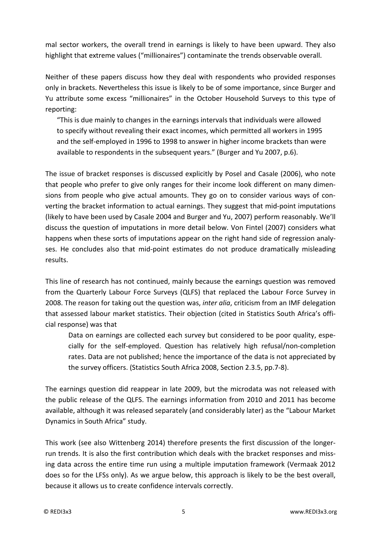mal sector workers, the overall trend in earnings is likely to have been upward. They also highlight that extreme values ("millionaires") contaminate the trends observable overall.

Neither of these papers discuss how they deal with respondents who provided responses only in brackets. Nevertheless this issue is likely to be of some importance, since Burger and Yu attribute some excess "millionaires" in the October Household Surveys to this type of reporting:

"This is due mainly to changes in the earnings intervals that individuals were allowed to specify without revealing their exact incomes, which permitted all workers in 1995 and the self-employed in 1996 to 1998 to answer in higher income brackets than were available to respondents in the subsequent years." (Burger and Yu 2007, p.6).

The issue of bracket responses is discussed explicitly by Posel and Casale (2006), who note that people who prefer to give only ranges for their income look different on many dimensions from people who give actual amounts. They go on to consider various ways of converting the bracket information to actual earnings. They suggest that mid-point imputations (likely to have been used by Casale 2004 and Burger and Yu, 2007) perform reasonably. We'll discuss the question of imputations in more detail below. Von Fintel (2007) considers what happens when these sorts of imputations appear on the right hand side of regression analyses. He concludes also that mid-point estimates do not produce dramatically misleading results.

This line of research has not continued, mainly because the earnings question was removed from the Quarterly Labour Force Surveys (QLFS) that replaced the Labour Force Survey in 2008. The reason for taking out the question was, *inter alia*, criticism from an IMF delegation that assessed labour market statistics. Their objection (cited in Statistics South Africa's official response) was that

Data on earnings are collected each survey but considered to be poor quality, especially for the self-employed. Question has relatively high refusal/non-completion rates. Data are not published; hence the importance of the data is not appreciated by the survey officers. (Statistics South Africa 2008, Section 2.3.5, pp.7-8).

The earnings question did reappear in late 2009, but the microdata was not released with the public release of the QLFS. The earnings information from 2010 and 2011 has become available, although it was released separately (and considerably later) as the "Labour Market Dynamics in South Africa" study.

This work (see also Wittenberg 2014) therefore presents the first discussion of the longerrun trends. It is also the first contribution which deals with the bracket responses and missing data across the entire time run using a multiple imputation framework (Vermaak 2012 does so for the LFSs only). As we argue below, this approach is likely to be the best overall, because it allows us to create confidence intervals correctly.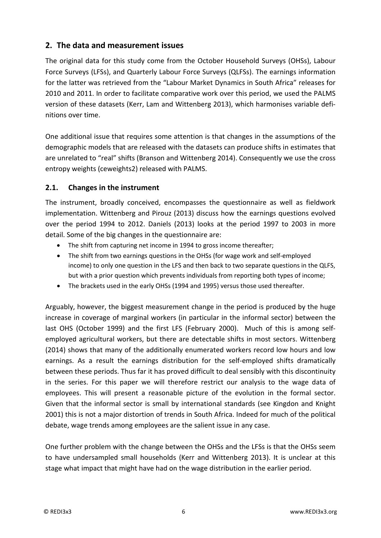## **2. The data and measurement issues**

The original data for this study come from the October Household Surveys (OHSs), Labour Force Surveys (LFSs), and Quarterly Labour Force Surveys (QLFSs). The earnings information for the latter was retrieved from the "Labour Market Dynamics in South Africa" releases for 2010 and 2011. In order to facilitate comparative work over this period, we used the PALMS version of these datasets (Kerr, Lam and Wittenberg 2013), which harmonises variable definitions over time.

One additional issue that requires some attention is that changes in the assumptions of the demographic models that are released with the datasets can produce shifts in estimates that are unrelated to "real" shifts (Branson and Wittenberg 2014). Consequently we use the cross entropy weights (ceweights2) released with PALMS.

#### **2.1. Changes in the instrument**

The instrument, broadly conceived, encompasses the questionnaire as well as fieldwork implementation. Wittenberg and Pirouz (2013) discuss how the earnings questions evolved over the period 1994 to 2012. Daniels (2013) looks at the period 1997 to 2003 in more detail. Some of the big changes in the questionnaire are:

- The shift from capturing net income in 1994 to gross income thereafter;
- The shift from two earnings questions in the OHSs (for wage work and self-employed income) to only one question in the LFS and then back to two separate questions in the QLFS, but with a prior question which prevents individuals from reporting both types of income;
- The brackets used in the early OHSs (1994 and 1995) versus those used thereafter.

Arguably, however, the biggest measurement change in the period is produced by the huge increase in coverage of marginal workers (in particular in the informal sector) between the last OHS (October 1999) and the first LFS (February 2000). Much of this is among selfemployed agricultural workers, but there are detectable shifts in most sectors. Wittenberg (2014) shows that many of the additionally enumerated workers record low hours and low earnings. As a result the earnings distribution for the self-employed shifts dramatically between these periods. Thus far it has proved difficult to deal sensibly with this discontinuity in the series. For this paper we will therefore restrict our analysis to the wage data of employees. This will present a reasonable picture of the evolution in the formal sector. Given that the informal sector is small by international standards (see Kingdon and Knight 2001) this is not a major distortion of trends in South Africa. Indeed for much of the political debate, wage trends among employees are the salient issue in any case.

One further problem with the change between the OHSs and the LFSs is that the OHSs seem to have undersampled small households (Kerr and Wittenberg 2013). It is unclear at this stage what impact that might have had on the wage distribution in the earlier period.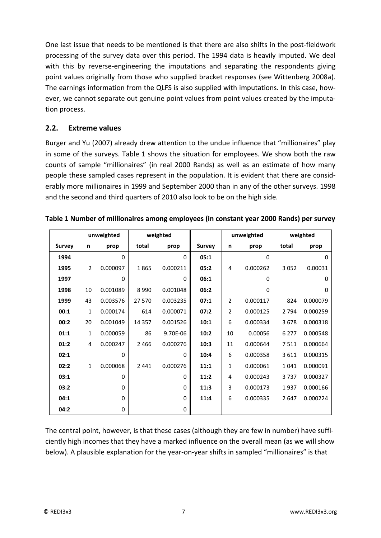One last issue that needs to be mentioned is that there are also shifts in the post-fieldwork processing of the survey data over this period. The 1994 data is heavily imputed. We deal with this by reverse-engineering the imputations and separating the respondents giving point values originally from those who supplied bracket responses (see Wittenberg 2008a). The earnings information from the QLFS is also supplied with imputations. In this case, however, we cannot separate out genuine point values from point values created by the imputation process.

### **2.2. Extreme values**

Burger and Yu (2007) already drew attention to the undue influence that "millionaires" play in some of the surveys. [Table 1](#page-6-0) shows the situation for employees. We show both the raw counts of sample "millionaires" (in real 2000 Rands) as well as an estimate of how many people these sampled cases represent in the population. It is evident that there are considerably more millionaires in 1999 and September 2000 than in any of the other surveys. 1998 and the second and third quarters of 2010 also look to be on the high side.

|               | unweighted     |          | weighted |          |               | unweighted     |          | weighted |          |
|---------------|----------------|----------|----------|----------|---------------|----------------|----------|----------|----------|
| <b>Survey</b> | n              | prop     | total    | prop     | <b>Survey</b> | n              | prop     | total    | prop     |
| 1994          |                | $\Omega$ |          | 0        | 05:1          |                | $\Omega$ |          | 0        |
| 1995          | $\overline{2}$ | 0.000097 | 1865     | 0.000211 | 05:2          | 4              | 0.000262 | 3 0 5 2  | 0.00031  |
| 1997          |                | $\Omega$ |          | 0        | 06:1          |                | 0        |          | 0        |
| 1998          | 10             | 0.001089 | 8990     | 0.001048 | 06:2          |                | 0        |          | $\Omega$ |
| 1999          | 43             | 0.003576 | 27 570   | 0.003235 | 07:1          | $\overline{2}$ | 0.000117 | 824      | 0.000079 |
| 00:1          | 1              | 0.000174 | 614      | 0.000071 | 07:2          | 2              | 0.000125 | 2 7 9 4  | 0.000259 |
| 00:2          | 20             | 0.001049 | 14 3 5 7 | 0.001526 | 10:1          | 6              | 0.000334 | 3678     | 0.000318 |
| 01:1          | 1              | 0.000059 | 86       | 9.70E-06 | 10:2          | 10             | 0.00056  | 6 2 7 7  | 0.000548 |
| 01:2          | 4              | 0.000247 | 2466     | 0.000276 | 10:3          | 11             | 0.000644 | 7511     | 0.000664 |
| 02:1          |                | $\Omega$ |          | $\Omega$ | 10:4          | 6              | 0.000358 | 3611     | 0.000315 |
| 02:2          | $\mathbf{1}$   | 0.000068 | 2 4 4 1  | 0.000276 | 11:1          | $\mathbf{1}$   | 0.000061 | 1041     | 0.000091 |
| 03:1          |                | 0        |          | 0        | 11:2          | 4              | 0.000243 | 3737     | 0.000327 |
| 03:2          |                | $\Omega$ |          | 0        | 11:3          | 3              | 0.000173 | 1937     | 0.000166 |
| 04:1          |                | $\Omega$ |          | 0        | 11:4          | 6              | 0.000335 | 2647     | 0.000224 |
| 04:2          |                | 0        |          | 0        |               |                |          |          |          |

<span id="page-6-0"></span>

| Table 1 Number of millionaires among employees (in constant year 2000 Rands) per survey |  |
|-----------------------------------------------------------------------------------------|--|
|-----------------------------------------------------------------------------------------|--|

The central point, however, is that these cases (although they are few in number) have sufficiently high incomes that they have a marked influence on the overall mean (as we will show below). A plausible explanation for the year-on-year shifts in sampled "millionaires" is that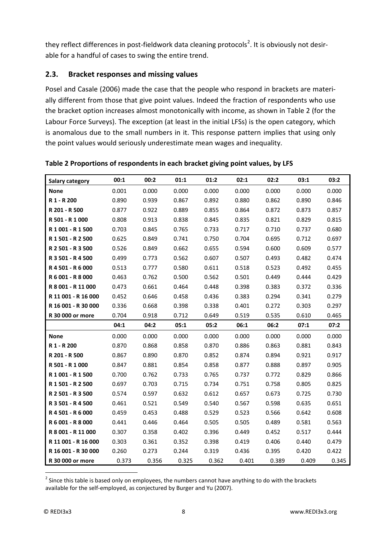they reflect differences in post-fieldwork data cleaning protocols<sup>[2](#page-7-1)</sup>. It is obviously not desirable for a handful of cases to swing the entire trend.

#### **2.3. Bracket responses and missing values**

Posel and Casale (2006) made the case that the people who respond in brackets are materially different from those that give point values. Indeed the fraction of respondents who use the bracket option increases almost monotonically with income, as shown in [Table 2](#page-7-0) (for the Labour Force Surveys). The exception (at least in the initial LFSs) is the open category, which is anomalous due to the small numbers in it. This response pattern implies that using only the point values would seriously underestimate mean wages and inequality.

| Salary category     | 00:1  | 00:2  | 01:1  | 01:2  | 02:1  | 02:2  | 03:1  | 03:2  |
|---------------------|-------|-------|-------|-------|-------|-------|-------|-------|
| <b>None</b>         | 0.001 | 0.000 | 0.000 | 0.000 | 0.000 | 0.000 | 0.000 | 0.000 |
| R 1 - R 200         | 0.890 | 0.939 | 0.867 | 0.892 | 0.880 | 0.862 | 0.890 | 0.846 |
| R 201 - R 500       | 0.877 | 0.922 | 0.889 | 0.855 | 0.864 | 0.872 | 0.873 | 0.857 |
| R 501 - R 1 000     | 0.808 | 0.913 | 0.838 | 0.845 | 0.835 | 0.821 | 0.829 | 0.815 |
| R 1 001 - R 1 500   | 0.703 | 0.845 | 0.765 | 0.733 | 0.717 | 0.710 | 0.737 | 0.680 |
| R 1 501 - R 2 500   | 0.625 | 0.849 | 0.741 | 0.750 | 0.704 | 0.695 | 0.712 | 0.697 |
| R 2 501 - R 3 500   | 0.526 | 0.849 | 0.662 | 0.655 | 0.594 | 0.600 | 0.609 | 0.577 |
| R 3 501 - R 4 500   | 0.499 | 0.773 | 0.562 | 0.607 | 0.507 | 0.493 | 0.482 | 0.474 |
| R 4 501 - R 6 000   | 0.513 | 0.777 | 0.580 | 0.611 | 0.518 | 0.523 | 0.492 | 0.455 |
| R 6 001 - R 8 000   | 0.463 | 0.762 | 0.500 | 0.562 | 0.501 | 0.449 | 0.444 | 0.429 |
| R 8 001 - R 11 000  | 0.473 | 0.661 | 0.464 | 0.448 | 0.398 | 0.383 | 0.372 | 0.336 |
| R 11 001 - R 16 000 | 0.452 | 0.646 | 0.458 | 0.436 | 0.383 | 0.294 | 0.341 | 0.279 |
| R 16 001 - R 30 000 | 0.336 | 0.668 | 0.398 | 0.338 | 0.401 | 0.272 | 0.303 | 0.297 |
| R 30 000 or more    | 0.704 | 0.918 | 0.712 | 0.649 | 0.519 | 0.535 | 0.610 | 0.465 |
|                     | 04:1  | 04:2  | 05:1  | 05:2  | 06:1  | 06:2  | 07:1  | 07:2  |
| <b>None</b>         | 0.000 | 0.000 | 0.000 | 0.000 | 0.000 | 0.000 | 0.000 | 0.000 |
| R 1 - R 200         | 0.870 | 0.868 | 0.858 | 0.870 | 0.886 | 0.863 | 0.881 | 0.843 |
| R 201 - R 500       | 0.867 | 0.890 | 0.870 | 0.852 | 0.874 | 0.894 | 0.921 | 0.917 |
| R 501 - R 1 000     | 0.847 | 0.881 | 0.854 | 0.858 | 0.877 | 0.888 | 0.897 | 0.905 |
| R 1 001 - R 1 500   | 0.700 | 0.762 | 0.733 | 0.765 | 0.737 | 0.772 | 0.829 | 0.866 |
| R 1 501 - R 2 500   | 0.697 | 0.703 | 0.715 | 0.734 | 0.751 | 0.758 | 0.805 | 0.825 |
| R 2 501 - R 3 500   | 0.574 | 0.597 | 0.632 | 0.612 | 0.657 | 0.673 | 0.725 | 0.730 |
| R 3 501 - R 4 500   | 0.461 | 0.521 | 0.549 | 0.540 | 0.567 | 0.598 | 0.635 | 0.651 |
| R 4 501 - R 6 000   | 0.459 | 0.453 | 0.488 | 0.529 | 0.523 | 0.566 | 0.642 | 0.608 |
| R 6 001 - R 8 000   | 0.441 | 0.446 | 0.464 | 0.505 | 0.505 | 0.489 | 0.581 | 0.563 |
| R 8 001 - R 11 000  | 0.307 | 0.358 | 0.402 | 0.396 | 0.449 | 0.452 | 0.517 | 0.444 |
| R 11 001 - R 16 000 | 0.303 | 0.361 | 0.352 | 0.398 | 0.419 | 0.406 | 0.440 | 0.479 |
| R 16 001 - R 30 000 | 0.260 | 0.273 | 0.244 | 0.319 | 0.436 | 0.395 | 0.420 | 0.422 |
| R 30 000 or more    | 0.373 | 0.356 | 0.325 | 0.362 | 0.401 | 0.389 | 0.409 | 0.345 |

<span id="page-7-0"></span>**Table 2 Proportions of respondents in each bracket giving point values, by LFS**

<span id="page-7-1"></span> $2$  Since this table is based only on employees, the numbers cannot have anything to do with the brackets available for the self-employed, as conjectured by Burger and Yu (2007). -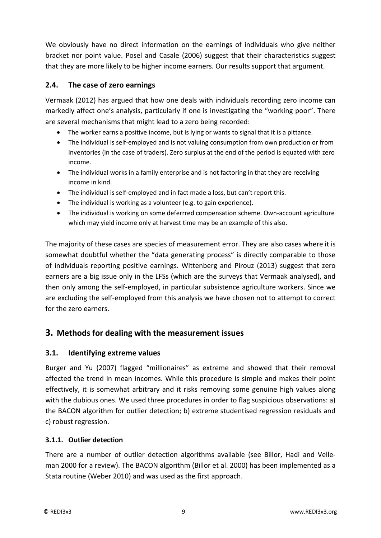We obviously have no direct information on the earnings of individuals who give neither bracket nor point value. Posel and Casale (2006) suggest that their characteristics suggest that they are more likely to be higher income earners. Our results support that argument.

#### **2.4. The case of zero earnings**

Vermaak (2012) has argued that how one deals with individuals recording zero income can markedly affect one's analysis, particularly if one is investigating the "working poor". There are several mechanisms that might lead to a zero being recorded:

- The worker earns a positive income, but is lying or wants to signal that it is a pittance.
- The individual is self-employed and is not valuing consumption from own production or from inventories (in the case of traders). Zero surplus at the end of the period is equated with zero income.
- The individual works in a family enterprise and is not factoring in that they are receiving income in kind.
- The individual is self-employed and in fact made a loss, but can't report this.
- The individual is working as a volunteer (e.g. to gain experience).
- The individual is working on some deferrred compensation scheme. Own-account agriculture which may yield income only at harvest time may be an example of this also.

The majority of these cases are species of measurement error. They are also cases where it is somewhat doubtful whether the "data generating process" is directly comparable to those of individuals reporting positive earnings. Wittenberg and Pirouz (2013) suggest that zero earners are a big issue only in the LFSs (which are the surveys that Vermaak analysed), and then only among the self-employed, in particular subsistence agriculture workers. Since we are excluding the self-employed from this analysis we have chosen not to attempt to correct for the zero earners.

## **3. Methods for dealing with the measurement issues**

#### **3.1. Identifying extreme values**

Burger and Yu (2007) flagged "millionaires" as extreme and showed that their removal affected the trend in mean incomes. While this procedure is simple and makes their point effectively, it is somewhat arbitrary and it risks removing some genuine high values along with the dubious ones. We used three procedures in order to flag suspicious observations: a) the BACON algorithm for outlier detection; b) extreme studentised regression residuals and c) robust regression.

#### **3.1.1. Outlier detection**

There are a number of outlier detection algorithms available (see Billor, Hadi and Velleman 2000 for a review). The BACON algorithm (Billor et al. 2000) has been implemented as a Stata routine (Weber 2010) and was used as the first approach.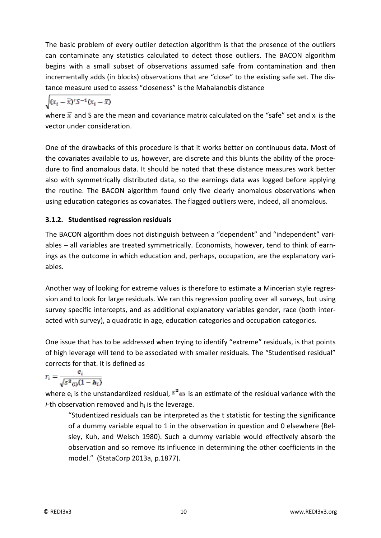The basic problem of every outlier detection algorithm is that the presence of the outliers can contaminate any statistics calculated to detect those outliers. The BACON algorithm begins with a small subset of observations assumed safe from contamination and then incrementally adds (in blocks) observations that are "close" to the existing safe set. The distance measure used to assess "closeness" is the Mahalanobis distance

$$
\sqrt{(x_i-\overline{x})^{\prime}S^{-1}(x_i-\overline{x})}
$$

where  $\bar{x}$  and S are the mean and covariance matrix calculated on the "safe" set and  $x_i$  is the vector under consideration.

One of the drawbacks of this procedure is that it works better on continuous data. Most of the covariates available to us, however, are discrete and this blunts the ability of the procedure to find anomalous data. It should be noted that these distance measures work better also with symmetrically distributed data, so the earnings data was logged before applying the routine. The BACON algorithm found only five clearly anomalous observations when using education categories as covariates. The flagged outliers were, indeed, all anomalous.

#### **3.1.2. Studentised regression residuals**

The BACON algorithm does not distinguish between a "dependent" and "independent" variables – all variables are treated symmetrically. Economists, however, tend to think of earnings as the outcome in which education and, perhaps, occupation, are the explanatory variables.

Another way of looking for extreme values is therefore to estimate a Mincerian style regression and to look for large residuals. We ran this regression pooling over all surveys, but using survey specific intercepts, and as additional explanatory variables gender, race (both interacted with survey), a quadratic in age, education categories and occupation categories.

One issue that has to be addressed when trying to identify "extreme" residuals, is that points of high leverage will tend to be associated with smaller residuals. The "Studentised residual" corrects for that. It is defined as

$$
r_{\tilde{i}} = \frac{e_{\tilde{i}}}{\sqrt{s^2 \omega (1 - h_{\tilde{i}})}}
$$

where  $e_i$  is the unstandardized residual,  $\bar{s}^2$  is an estimate of the residual variance with the  $i$ -th observation removed and  $h_i$  is the leverage.

"Studentized residuals can be interpreted as the t statistic for testing the significance of a dummy variable equal to 1 in the observation in question and 0 elsewhere (Belsley, Kuh, and Welsch 1980). Such a dummy variable would effectively absorb the observation and so remove its influence in determining the other coefficients in the model." (StataCorp 2013a, p.1877).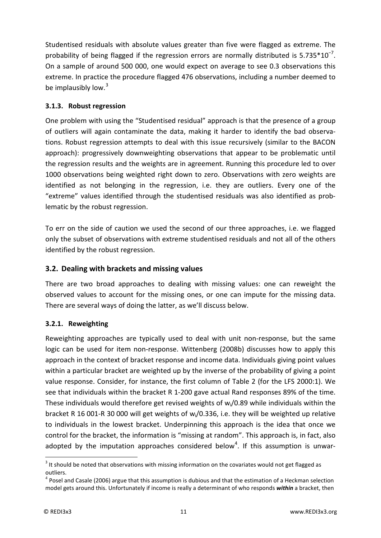Studentised residuals with absolute values greater than five were flagged as extreme. The probability of being flagged if the regression errors are normally distributed is  $5.735*10^{-7}$ . On a sample of around 500 000, one would expect on average to see 0.3 observations this extreme. In practice the procedure flagged 476 observations, including a number deemed to be implausibly low.<sup>[3](#page-10-0)</sup>

#### **3.1.3. Robust regression**

One problem with using the "Studentised residual" approach is that the presence of a group of outliers will again contaminate the data, making it harder to identify the bad observations. Robust regression attempts to deal with this issue recursively (similar to the BACON approach): progressively downweighting observations that appear to be problematic until the regression results and the weights are in agreement. Running this procedure led to over 1000 observations being weighted right down to zero. Observations with zero weights are identified as not belonging in the regression, i.e. they are outliers. Every one of the "extreme" values identified through the studentised residuals was also identified as problematic by the robust regression.

To err on the side of caution we used the second of our three approaches, i.e. we flagged only the subset of observations with extreme studentised residuals and not all of the others identified by the robust regression.

#### **3.2. Dealing with brackets and missing values**

There are two broad approaches to dealing with missing values: one can reweight the observed values to account for the missing ones, or one can impute for the missing data. There are several ways of doing the latter, as we'll discuss below.

#### **3.2.1. Reweighting**

Reweighting approaches are typically used to deal with unit non-response, but the same logic can be used for item non-response. Wittenberg (2008b) discusses how to apply this approach in the context of bracket response and income data. Individuals giving point values within a particular bracket are weighted up by the inverse of the probability of giving a point value response. Consider, for instance, the first column of [Table 2](#page-7-0) (for the LFS 2000:1). We see that individuals within the bracket R 1-200 gave actual Rand responses 89% of the time. These individuals would therefore get revised weights of  $w_i/0.89$  while individuals within the bracket R 16 001-R 30 000 will get weights of  $w_i/0.336$ , i.e. they will be weighted up relative to individuals in the lowest bracket. Underpinning this approach is the idea that once we control for the bracket, the information is "missing at random". This approach is, in fact, also adopted by the imputation approaches considered below<sup>[4](#page-10-1)</sup>. If this assumption is unwar-

<span id="page-10-0"></span><sup>&</sup>lt;sup>3</sup> It should be noted that observations with missing information on the covariates would not get flagged as outliers. -

<span id="page-10-1"></span><sup>4</sup> Posel and Casale (2006) argue that this assumption is dubious and that the estimation of a Heckman selection model gets around this. Unfortunately if income is really a determinant of who responds *within* a bracket, then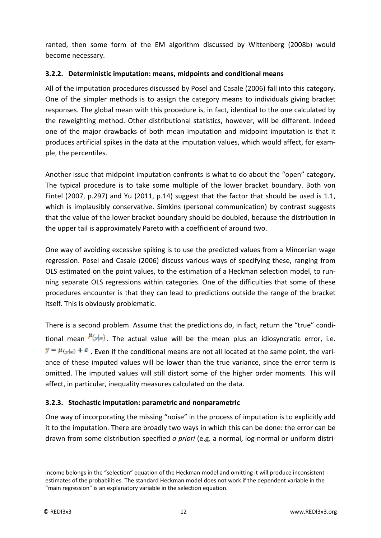ranted, then some form of the EM algorithm discussed by Wittenberg (2008b) would become necessary.

#### **3.2.2. Deterministic imputation: means, midpoints and conditional means**

All of the imputation procedures discussed by Posel and Casale (2006) fall into this category. One of the simpler methods is to assign the category means to individuals giving bracket responses. The global mean with this procedure is, in fact, identical to the one calculated by the reweighting method. Other distributional statistics, however, will be different. Indeed one of the major drawbacks of both mean imputation and midpoint imputation is that it produces artificial spikes in the data at the imputation values, which would affect, for example, the percentiles.

Another issue that midpoint imputation confronts is what to do about the "open" category. The typical procedure is to take some multiple of the lower bracket boundary. Both von Fintel (2007, p.297) and Yu (2011, p.14) suggest that the factor that should be used is 1.1, which is implausibly conservative. Simkins (personal communication) by contrast suggests that the value of the lower bracket boundary should be doubled, because the distribution in the upper tail is approximately Pareto with a coefficient of around two.

One way of avoiding excessive spiking is to use the predicted values from a Mincerian wage regression. Posel and Casale (2006) discuss various ways of specifying these, ranging from OLS estimated on the point values, to the estimation of a Heckman selection model, to running separate OLS regressions within categories. One of the difficulties that some of these procedures encounter is that they can lead to predictions outside the range of the bracket itself. This is obviously problematic.

There is a second problem. Assume that the predictions do, in fact, return the "true" conditional mean  $\frac{\mu(y)}{x}$ . The actual value will be the mean plus an idiosyncratic error, i.e.  $\mathcal{Y} = \mu_{\text{Syl}} + \varepsilon$ . Even if the conditional means are not all located at the same point, the variance of these imputed values will be lower than the true variance, since the error term is omitted. The imputed values will still distort some of the higher order moments. This will affect, in particular, inequality measures calculated on the data.

#### **3.2.3. Stochastic imputation: parametric and nonparametric**

One way of incorporating the missing "noise" in the process of imputation is to explicitly add it to the imputation. There are broadly two ways in which this can be done: the error can be drawn from some distribution specified *a priori* (e.g. a normal, log-normal or uniform distri-

<u>.</u>

income belongs in the "selection" equation of the Heckman model and omitting it will produce inconsistent estimates of the probabilities. The standard Heckman model does not work if the dependent variable in the "main regression" is an explanatory variable in the selection equation.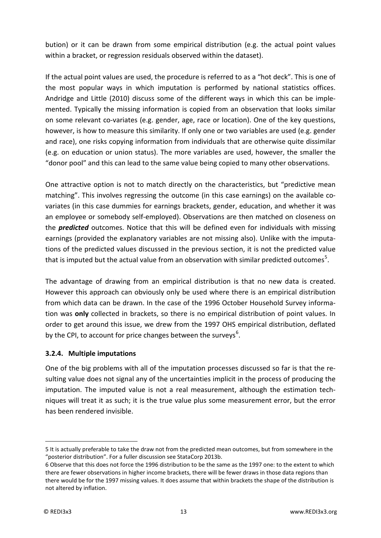bution) or it can be drawn from some empirical distribution (e.g. the actual point values within a bracket, or regression residuals observed within the dataset).

If the actual point values are used, the procedure is referred to as a "hot deck". This is one of the most popular ways in which imputation is performed by national statistics offices. Andridge and Little (2010) discuss some of the different ways in which this can be implemented. Typically the missing information is copied from an observation that looks similar on some relevant co-variates (e.g. gender, age, race or location). One of the key questions, however, is how to measure this similarity. If only one or two variables are used (e.g. gender and race), one risks copying information from individuals that are otherwise quite dissimilar (e.g. on education or union status). The more variables are used, however, the smaller the "donor pool" and this can lead to the same value being copied to many other observations.

One attractive option is not to match directly on the characteristics, but "predictive mean matching". This involves regressing the outcome (in this case earnings) on the available covariates (in this case dummies for earnings brackets, gender, education, and whether it was an employee or somebody self-employed). Observations are then matched on closeness on the *predicted* outcomes. Notice that this will be defined even for individuals with missing earnings (provided the explanatory variables are not missing also). Unlike with the imputations of the predicted values discussed in the previous section, it is not the predicted value that is imputed but the actual value from an observation with similar predicted outcomes<sup>[5](#page-12-0)</sup>.

The advantage of drawing from an empirical distribution is that no new data is created. However this approach can obviously only be used where there is an empirical distribution from which data can be drawn. In the case of the 1996 October Household Survey information was **only** collected in brackets, so there is no empirical distribution of point values. In order to get around this issue, we drew from the 1997 OHS empirical distribution, deflated by the CPI, to account for price changes between the surveys<sup>[6](#page-12-1)</sup>.

#### <span id="page-12-2"></span>**3.2.4. Multiple imputations**

One of the big problems with all of the imputation processes discussed so far is that the resulting value does not signal any of the uncertainties implicit in the process of producing the imputation. The imputed value is not a real measurement, although the estimation techniques will treat it as such; it is the true value plus some measurement error, but the error has been rendered invisible.

-

<span id="page-12-0"></span><sup>5</sup> It is actually preferable to take the draw not from the predicted mean outcomes, but from somewhere in the "posterior distribution". For a fuller discussion see StataCorp 2013b.

<span id="page-12-1"></span><sup>6</sup> Observe that this does not force the 1996 distribution to be the same as the 1997 one: to the extent to which there are fewer observations in higher income brackets, there will be fewer draws in those data regions than there would be for the 1997 missing values. It does assume that within brackets the shape of the distribution is not altered by inflation.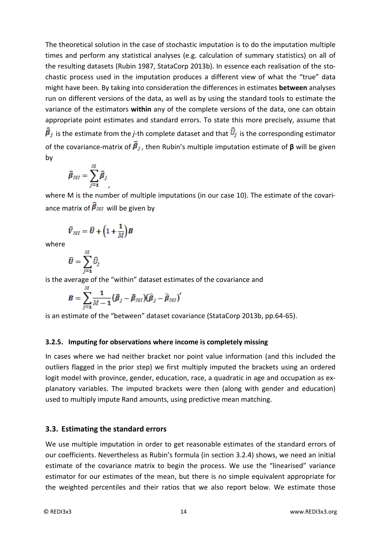The theoretical solution in the case of stochastic imputation is to do the imputation multiple times and perform any statistical analyses (e.g. calculation of summary statistics) on all of the resulting datasets (Rubin 1987, StataCorp 2013b). In essence each realisation of the stochastic process used in the imputation produces a different view of what the "true" data might have been. By taking into consideration the differences in estimates **between** analyses run on different versions of the data, as well as by using the standard tools to estimate the variance of the estimators **within** any of the complete versions of the data, one can obtain appropriate point estimates and standard errors. To state this more precisely, assume that  $\vec{B}_j$  is the estimate from the *j*-th complete dataset and that  $\vec{U}_j$  is the corresponding estimator of the covariance-matrix of  $\widehat{\beta}_j$ , then Rubin's multiple imputation estimate of β will be given by

$$
\widehat{\beta}_{MI} = \sum_{j=1}^{M} \widehat{\beta}_{j}
$$

where M is the number of multiple imputations (in our case 10). The estimate of the covariance matrix of  $\vec{\beta}_{MI}$  will be given by

$$
\widehat{V}_{MI}=\overline{U}+\Big(1+\frac{1}{M}\Big)B
$$

where

$$
\overline{\boldsymbol{U}} = \sum_{j=1}^M \widehat{U}_j
$$

is the average of the "within" dataset estimates of the covariance and

$$
B=\sum_{j=1}^M \frac{1}{M-1}\big(\widehat{\beta}_j-\widehat{\beta}_{MI}\big)\big(\widehat{\beta}_j-\widehat{\beta}_{MI}\big)'
$$

is an estimate of the "between" dataset covariance (StataCorp 2013b, pp.64-65).

#### **3.2.5. Imputing for observations where income is completely missing**

In cases where we had neither bracket nor point value information (and this included the outliers flagged in the prior step) we first multiply imputed the brackets using an ordered logit model with province, gender, education, race, a quadratic in age and occupation as explanatory variables. The imputed brackets were then (along with gender and education) used to multiply impute Rand amounts, using predictive mean matching.

#### **3.3. Estimating the standard errors**

We use multiple imputation in order to get reasonable estimates of the standard errors of our coefficients. Nevertheless as Rubin's formula (in section [3.2.4\)](#page-12-2) shows, we need an initial estimate of the covariance matrix to begin the process. We use the "linearised" variance estimator for our estimates of the mean, but there is no simple equivalent appropriate for the weighted percentiles and their ratios that we also report below. We estimate those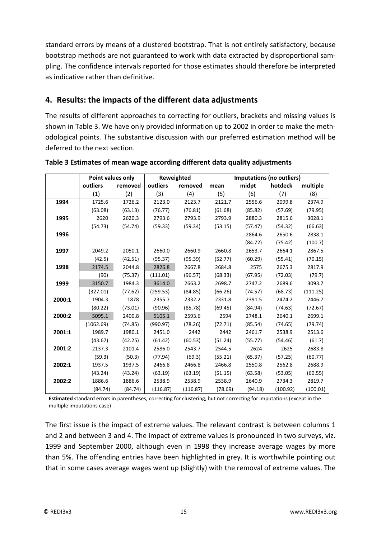standard errors by means of a clustered bootstrap. That is not entirely satisfactory, because bootstrap methods are not guaranteed to work with data extracted by disproportional sampling. The confidence intervals reported for those estimates should therefore be interpreted as indicative rather than definitive.

## **4. Results: the impacts of the different data adjustments**

The results of different approaches to correcting for outliers, brackets and missing values is shown in [Table 3.](#page-14-0) We have only provided information up to 2002 in order to make the methodological points. The substantive discussion with our preferred estimation method will be deferred to the next section.

|        | Point values only |         |          | Reweighted | Imputations (no outliers) |         |          |          |  |
|--------|-------------------|---------|----------|------------|---------------------------|---------|----------|----------|--|
|        | outliers          | removed | outliers | removed    | mean                      | midpt   | hotdeck  | multiple |  |
|        | (1)               | (2)     | (3)      | (4)        | (5)                       | (6)     | (7)      | (8)      |  |
| 1994   | 1725.6            | 1726.2  | 2123.0   | 2123.7     | 2121.7                    | 2556.6  | 2099.8   | 2374.9   |  |
|        | (63.08)           | (63.13) | (76.77)  | (76.81)    | (61.68)                   | (85.82) | (57.69)  | (79.95)  |  |
| 1995   | 2620              | 2620.3  | 2793.6   | 2793.9     | 2793.9                    | 2880.3  | 2815.6   | 3028.1   |  |
|        | (54.73)           | (54.74) | (59.33)  | (59.34)    | (53.15)                   | (57.47) | (54.32)  | (66.63)  |  |
| 1996   |                   |         |          |            |                           | 2864.6  | 2650.6   | 2838.1   |  |
|        |                   |         |          |            |                           | (84.72) | (75.42)  | (100.7)  |  |
| 1997   | 2049.2            | 2050.1  | 2660.0   | 2660.9     | 2660.8                    | 2653.7  | 2664.1   | 2867.5   |  |
|        | (42.5)            | (42.51) | (95.37)  | (95.39)    | (52.77)                   | (60.29) | (55.41)  | (70.15)  |  |
| 1998   | 2174.5            | 2044.8  | 2826.8   | 2667.8     | 2684.8                    | 2575    | 2675.3   | 2817.9   |  |
|        | (90)              | (75.37) | (111.01) | (96.57)    | (68.33)                   | (67.95) | (72.03)  | (79.7)   |  |
| 1999   | 3150.7            | 1984.3  | 3614.0   | 2663.2     | 2698.7                    | 2747.2  | 2689.6   | 3093.7   |  |
|        | (327.01)          | (77.62) | (259.53) | (84.85)    | (66.26)                   | (74.57) | (68.73)  | (111.25) |  |
| 2000:1 | 1904.3            | 1878    | 2355.7   | 2332.2     | 2331.8                    | 2391.5  | 2474.2   | 2446.7   |  |
|        | (80.22)           | (73.01) | (90.96)  | (85.78)    | (69.45)                   | (84.94) | (74.63)  | (72.67)  |  |
| 2000:2 | 5095.1            | 2400.8  | 5105.1   | 2593.6     | 2594                      | 2748.1  | 2640.1   | 2699.1   |  |
|        | (1062.69)         | (74.85) | (990.97) | (78.26)    | (72.71)                   | (85.54) | (74.65)  | (79.74)  |  |
| 2001:1 | 1989.7            | 1980.1  | 2451.0   | 2442       | 2442                      | 2461.7  | 2538.9   | 2513.6   |  |
|        | (43.67)           | (42.25) | (61.42)  | (60.53)    | (51.24)                   | (55.77) | (54.46)  | (61.7)   |  |
| 2001:2 | 2137.3            | 2101.4  | 2586.0   | 2543.7     | 2544.5                    | 2624    | 2625     | 2683.8   |  |
|        | (59.3)            | (50.3)  | (77.94)  | (69.3)     | (55.21)                   | (65.37) | (57.25)  | (60.77)  |  |
| 2002:1 | 1937.5            | 1937.5  | 2466.8   | 2466.8     | 2466.8                    | 2550.8  | 2562.8   | 2688.9   |  |
|        | (43.24)           | (43.24) | (63.19)  | (63.19)    | (51.15)                   | (63.58) | (53.05)  | (60.55)  |  |
| 2002:2 | 1886.6            | 1886.6  | 2538.9   | 2538.9     | 2538.9                    | 2640.9  | 2734.3   | 2819.7   |  |
|        | (84.74)           | (84.74) | (116.87) | (116.87)   | (78.69)                   | (94.18) | (100.92) | (100.01) |  |

<span id="page-14-0"></span>**Table 3 Estimates of mean wage according different data quality adjustments**

**Estimated** standard errors in parentheses, correcting for clustering, but not correcting for imputations (except in the multiple imputations case)

The first issue is the impact of extreme values. The relevant contrast is between columns 1 and 2 and between 3 and 4. The impact of extreme values is pronounced in two surveys, viz. 1999 and September 2000, although even in 1998 they increase average wages by more than 5%. The offending entries have been highlighted in grey. It is worthwhile pointing out that in some cases average wages went up (slightly) with the removal of extreme values. The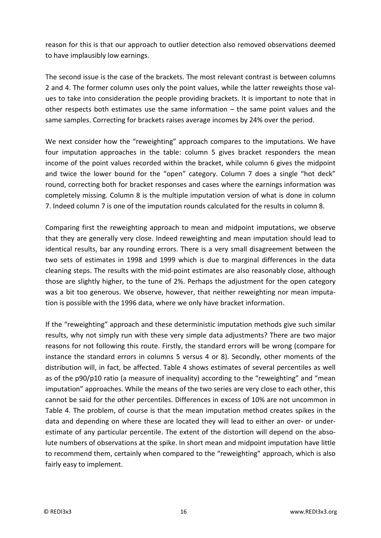reason for this is that our approach to outlier detection also removed observations deemed to have implausibly low earnings.

The second issue is the case of the brackets. The most relevant contrast is between columns 2 and 4. The former column uses only the point values, while the latter reweights those values to take into consideration the people providing brackets. It is important to note that in other respects both estimates use the same information – the same point values and the same samples. Correcting for brackets raises average incomes by 24% over the period.

We next consider how the "reweighting" approach compares to the imputations. We have four imputation approaches in the table: column 5 gives bracket responders the mean income of the point values recorded within the bracket, while column 6 gives the midpoint and twice the lower bound for the "open" category. Column 7 does a single "hot deck" round, correcting both for bracket responses and cases where the earnings information was completely missing. Column 8 is the multiple imputation version of what is done in column 7. Indeed column 7 is one of the imputation rounds calculated for the results in column 8.

Comparing first the reweighting approach to mean and midpoint imputations, we observe that they are generally very close. Indeed reweighting and mean imputation should lead to identical results, bar any rounding errors. There is a very small disagreement between the two sets of estimates in 1998 and 1999 which is due to marginal differences in the data cleaning steps. The results with the mid-point estimates are also reasonably close, although those are slightly higher, to the tune of 2%. Perhaps the adjustment for the open category was a bit too generous. We observe, however, that neither reweighting nor mean imputation is possible with the 1996 data, where we only have bracket information.

If the "reweighting" approach and these deterministic imputation methods give such similar results, why not simply run with these very simple data adjustments? There are two major reasons for not following this route. Firstly, the standard errors will be wrong (compare for instance the standard errors in columns 5 versus 4 or 8). Secondly, other moments of the distribution will, in fact, be affected. [Table 4](#page-16-0) shows estimates of several percentiles as well as of the p90/p10 ratio (a measure of inequality) according to the "reweighting" and "mean imputation" approaches. While the means of the two series are very close to each other, this cannot be said for the other percentiles. Differences in excess of 10% are not uncommon in [Table 4.](#page-16-0) The problem, of course is that the mean imputation method creates spikes in the data and depending on where these are located they will lead to either an over- or underestimate of any particular percentile. The extent of the distortion will depend on the absolute numbers of observations at the spike. In short mean and midpoint imputation have little to recommend them, certainly when compared to the "reweighting" approach, which is also fairly easy to implement.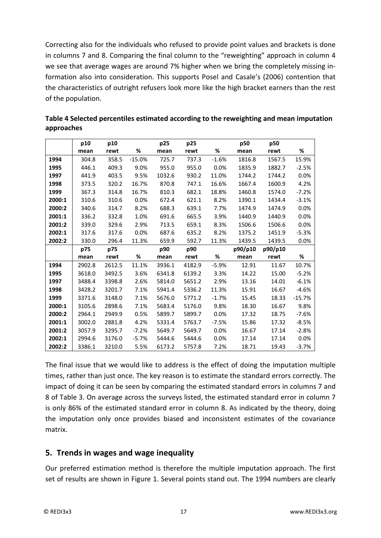Correcting also for the individuals who refused to provide point values and brackets is done in columns 7 and 8. Comparing the final column to the "reweighting" approach in column 4 we see that average wages are around 7% higher when we bring the completely missing information also into consideration. This supports Posel and Casale's (2006) contention that the characteristics of outright refusers look more like the high bracket earners than the rest of the population.

|        | p10    | p10    |          | p25    | p25    |         | p50     | p50     |          |
|--------|--------|--------|----------|--------|--------|---------|---------|---------|----------|
|        | mean   | rewt   | %        | mean   | rewt   | %       | mean    | rewt    | %        |
| 1994   | 304.8  | 358.5  | $-15.0%$ | 725.7  | 737.3  | $-1.6%$ | 1816.8  | 1567.5  | 15.9%    |
| 1995   | 446.1  | 409.3  | 9.0%     | 955.0  | 955.0  | 0.0%    | 1835.9  | 1882.7  | $-2.5%$  |
| 1997   | 441.9  | 403.5  | 9.5%     | 1032.6 | 930.2  | 11.0%   | 1744.2  | 1744.2  | 0.0%     |
| 1998   | 373.5  | 320.2  | 16.7%    | 870.8  | 747.1  | 16.6%   | 1667.4  | 1600.9  | 4.2%     |
| 1999   | 367.3  | 314.8  | 16.7%    | 810.3  | 682.1  | 18.8%   | 1460.8  | 1574.0  | $-7.2%$  |
| 2000:1 | 310.6  | 310.6  | 0.0%     | 672.4  | 621.1  | 8.2%    | 1390.1  | 1434.4  | $-3.1%$  |
| 2000:2 | 340.6  | 314.7  | 8.2%     | 688.3  | 639.1  | 7.7%    | 1474.9  | 1474.9  | 0.0%     |
| 2001:1 | 336.2  | 332.8  | 1.0%     | 691.6  | 665.5  | 3.9%    | 1440.9  | 1440.9  | 0.0%     |
| 2001:2 | 339.0  | 329.6  | 2.9%     | 713.5  | 659.1  | 8.3%    | 1506.6  | 1506.6  | 0.0%     |
| 2002:1 | 317.6  | 317.6  | 0.0%     | 687.6  | 635.2  | 8.2%    | 1375.2  | 1451.9  | $-5.3%$  |
| 2002:2 | 330.0  | 296.4  | 11.3%    | 659.9  | 592.7  | 11.3%   | 1439.5  | 1439.5  | 0.0%     |
|        |        |        |          |        |        |         |         |         |          |
|        | p75    | p75    |          | p90    | p90    |         | p90/p10 | p90/p10 |          |
|        | mean   | rewt   | %        | mean   | rewt   | %       | mean    | rewt    | %        |
| 1994   | 2902.8 | 2612.5 | 11.1%    | 3936.1 | 4182.9 | $-5.9%$ | 12.91   | 11.67   | 10.7%    |
| 1995   | 3618.0 | 3492.5 | 3.6%     | 6341.8 | 6139.2 | 3.3%    | 14.22   | 15.00   | $-5.2%$  |
| 1997   | 3488.4 | 3398.8 | 2.6%     | 5814.0 | 5651.2 | 2.9%    | 13.16   | 14.01   | $-6.1%$  |
| 1998   | 3428.2 | 3201.7 | 7.1%     | 5941.4 | 5336.2 | 11.3%   | 15.91   | 16.67   | $-4.6%$  |
| 1999   | 3371.6 | 3148.0 | 7.1%     | 5676.0 | 5771.2 | $-1.7%$ | 15.45   | 18.33   | $-15.7%$ |
| 2000:1 | 3105.6 | 2898.6 | 7.1%     | 5683.4 | 5176.0 | 9.8%    | 18.30   | 16.67   | 9.8%     |
| 2000:2 | 2964.1 | 2949.9 | 0.5%     | 5899.7 | 5899.7 | 0.0%    | 17.32   | 18.75   | $-7.6%$  |
| 2001:1 | 3002.0 | 2881.8 | 4.2%     | 5331.4 | 5763.7 | $-7.5%$ | 15.86   | 17.32   | $-8.5%$  |
| 2001:2 | 3057.9 | 3295.7 | $-7.2%$  | 5649.7 | 5649.7 | 0.0%    | 16.67   | 17.14   | $-2.8%$  |
| 2002:1 | 2994.6 | 3176.0 | $-5.7%$  | 5444.6 | 5444.6 | 0.0%    | 17.14   | 17.14   | 0.0%     |

<span id="page-16-0"></span>**Table 4 Selected percentiles estimated according to the reweighting and mean imputation approaches**

The final issue that we would like to address is the effect of doing the imputation multiple times, rather than just once. The key reason is to estimate the standard errors correctly. The impact of doing it can be seen by comparing the estimated standard errors in columns 7 and 8 of [Table 3.](#page-14-0) On average across the surveys listed, the estimated standard error in column 7 is only 86% of the estimated standard error in column 8. As indicated by the theory, doing the imputation only once provides biased and inconsistent estimates of the covariance matrix.

#### **5. Trends in wages and wage inequality**

Our preferred estimation method is therefore the multiple imputation approach. The first set of results are shown in [Figure 1.](#page-17-0) Several points stand out. The 1994 numbers are clearly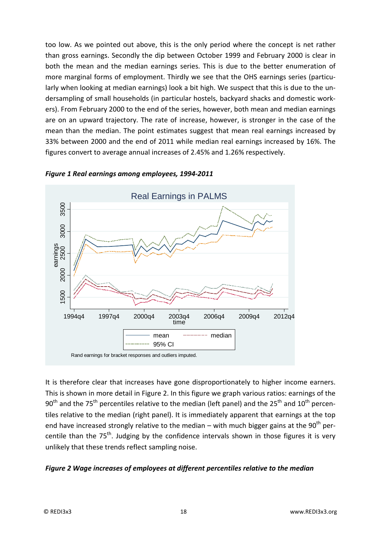too low. As we pointed out above, this is the only period where the concept is net rather than gross earnings. Secondly the dip between October 1999 and February 2000 is clear in both the mean and the median earnings series. This is due to the better enumeration of more marginal forms of employment. Thirdly we see that the OHS earnings series (particularly when looking at median earnings) look a bit high. We suspect that this is due to the undersampling of small households (in particular hostels, backyard shacks and domestic workers). From February 2000 to the end of the series, however, both mean and median earnings are on an upward trajectory. The rate of increase, however, is stronger in the case of the mean than the median. The point estimates suggest that mean real earnings increased by 33% between 2000 and the end of 2011 while median real earnings increased by 16%. The figures convert to average annual increases of 2.45% and 1.26% respectively.



#### <span id="page-17-0"></span>*Figure 1 Real earnings among employees, 1994-2011*

It is therefore clear that increases have gone disproportionately to higher income earners. This is shown in more detail in [Figure 2.](#page-17-1) In this figure we graph various ratios: earnings of the 90<sup>th</sup> and the 75<sup>th</sup> percentiles relative to the median (left panel) and the 25<sup>th</sup> and 10<sup>th</sup> percentiles relative to the median (right panel). It is immediately apparent that earnings at the top end have increased strongly relative to the median – with much bigger gains at the 90<sup>th</sup> percentile than the  $75<sup>th</sup>$ . Judging by the confidence intervals shown in those figures it is very unlikely that these trends reflect sampling noise.

#### <span id="page-17-1"></span>*Figure 2 Wage increases of employees at different percentiles relative to the median*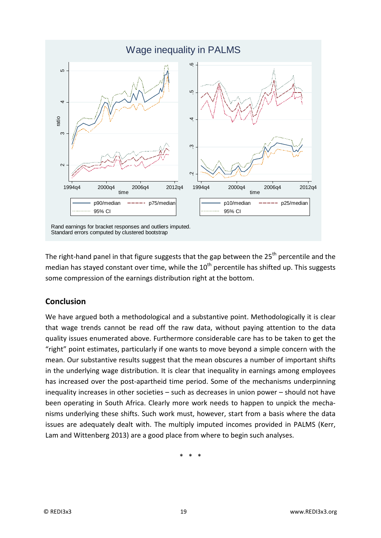

The right-hand panel in that figure suggests that the gap between the  $25<sup>th</sup>$  percentile and the median has stayed constant over time, while the  $10<sup>th</sup>$  percentile has shifted up. This suggests some compression of the earnings distribution right at the bottom.

## **Conclusion**

We have argued both a methodological and a substantive point. Methodologically it is clear that wage trends cannot be read off the raw data, without paying attention to the data quality issues enumerated above. Furthermore considerable care has to be taken to get the "right" point estimates, particularly if one wants to move beyond a simple concern with the mean. Our substantive results suggest that the mean obscures a number of important shifts in the underlying wage distribution. It is clear that inequality in earnings among employees has increased over the post-apartheid time period. Some of the mechanisms underpinning inequality increases in other societies – such as decreases in union power – should not have been operating in South Africa. Clearly more work needs to happen to unpick the mechanisms underlying these shifts. Such work must, however, start from a basis where the data issues are adequately dealt with. The multiply imputed incomes provided in PALMS (Kerr, Lam and Wittenberg 2013) are a good place from where to begin such analyses.

\* \* \*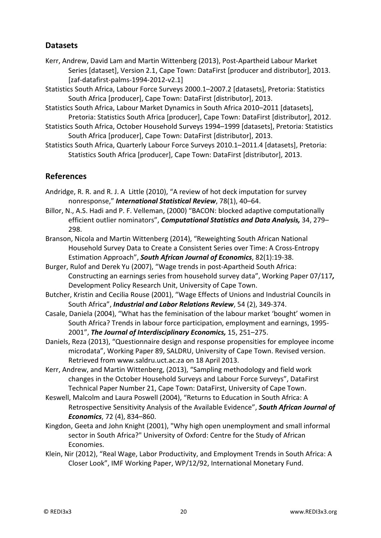## **Datasets**

- Kerr, Andrew, David Lam and Martin Wittenberg (2013), Post-Apartheid Labour Market Series [dataset], Version 2.1, Cape Town: DataFirst [producer and distributor], 2013. [zaf-datafirst-palms-1994-2012-v2.1]
- Statistics South Africa, Labour Force Surveys 2000.1–2007.2 [datasets], Pretoria: Statistics South Africa [producer], Cape Town: DataFirst [distributor], 2013.
- Statistics South Africa, Labour Market Dynamics in South Africa 2010–2011 [datasets], Pretoria: Statistics South Africa [producer], Cape Town: DataFirst [distributor], 2012.
- Statistics South Africa, October Household Surveys 1994–1999 [datasets], Pretoria: Statistics South Africa [producer], Cape Town: DataFirst [distributor], 2013.
- Statistics South Africa, Quarterly Labour Force Surveys 2010.1–2011.4 [datasets], Pretoria: Statistics South Africa [producer], Cape Town: DataFirst [distributor], 2013.

## **References**

- Andridge, R. R. and R. J. A Little (2010), "A review of hot deck imputation for survey nonresponse," *International Statistical Review*, 78(1), 40–64.
- Billor, N., A.S. Hadi and P. F. Velleman, (2000) "BACON: blocked adaptive computationally efficient outlier nominators", *Computational Statistics and Data Analysis,* 34, 279– 298.
- Branson, Nicola and Martin Wittenberg (2014), "Reweighting South African National Household Survey Data to Create a Consistent Series over Time: A Cross-Entropy Estimation Approach", *South African Journal of Economics*, 82(1):19-38.
- Burger, Rulof and Derek Yu (2007), "Wage trends in post-Apartheid South Africa: Constructing an earnings series from household survey data", Working Paper 07/117*,*  Development Policy Research Unit, University of Cape Town.
- Butcher, Kristin and Cecilia Rouse (2001), "Wage Effects of Unions and Industrial Councils in South Africa", *Industrial and Labor Relations Review*, 54 (2), 349-374.
- Casale, Daniela (2004), "What has the feminisation of the labour market 'bought' women in South Africa? Trends in labour force participation, employment and earnings, 1995- 2001", *The Journal of Interdisciplinary Economics,* 15, 251–275.
- Daniels, Reza (2013), "Questionnaire design and response propensities for employee income microdata", Working Paper 89, SALDRU, University of Cape Town. Revised version. Retrieved from www.saldru.uct.ac.za on 18 April 2013.
- Kerr, Andrew, and Martin Wittenberg, (2013), "Sampling methodology and field work changes in the October Household Surveys and Labour Force Surveys", DataFirst Technical Paper Number 21, Cape Town: DataFirst, University of Cape Town.
- Keswell, Malcolm and Laura Poswell (2004), "Returns to Education in South Africa: A Retrospective Sensitivity Analysis of the Available Evidence", *South African Journal of Economics*, 72 (4), 834–860.
- Kingdon, Geeta and John Knight (2001), "Why high open unemployment and small informal sector in South Africa?" University of Oxford: Centre for the Study of African Economies.
- Klein, Nir (2012), "Real Wage, Labor Productivity, and Employment Trends in South Africa: A Closer Look", IMF Working Paper, WP/12/92, International Monetary Fund.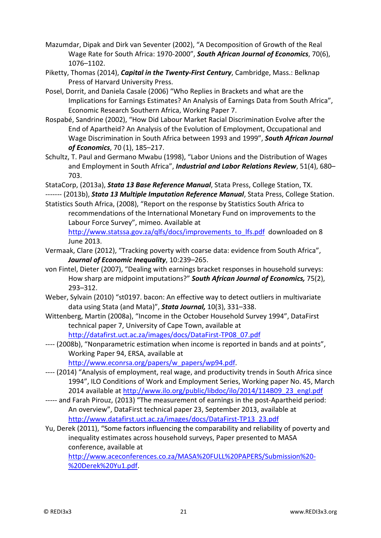- Mazumdar, Dipak and Dirk van Seventer (2002), "A Decomposition of Growth of the Real Wage Rate for South Africa: 1970-2000", *South African Journal of Economics*, 70(6), 1076–1102.
- Piketty, Thomas (2014), *Capital in the Twenty-First Century*, Cambridge, Mass.: Belknap Press of Harvard University Press.
- Posel, Dorrit, and Daniela Casale (2006) "Who Replies in Brackets and what are the Implications for Earnings Estimates? An Analysis of Earnings Data from South Africa", Economic Research Southern Africa, Working Paper 7.
- Rospabé, Sandrine (2002), "How Did Labour Market Racial Discrimination Evolve after the End of Apartheid? An Analysis of the Evolution of Employment, Occupational and Wage Discrimination in South Africa between 1993 and 1999", *South African Journal of Economics*, 70 (1), 185–217.
- Schultz, T. Paul and Germano Mwabu (1998), "Labor Unions and the Distribution of Wages and Employment in South Africa", *Industrial and Labor Relations Review*, 51(4), 680– 703.
- StataCorp, (2013a), *Stata 13 Base Reference Manual*, Stata Press, College Station, TX.

------- (2013b), *Stata 13 Multiple Imputation Reference Manual*, Stata Press, College Station. Statistics South Africa, (2008), "Report on the response by Statistics South Africa to

recommendations of the International Monetary Fund on improvements to the Labour Force Survey", mimeo. Available at

[http://www.statssa.gov.za/qlfs/docs/improvements\\_to\\_lfs.pdf](http://www.statssa.gov.za/qlfs/docs/improvements_to_lfs.pdf) downloaded on 8 June 2013.

- Vermaak, Clare (2012), "Tracking poverty with coarse data: evidence from South Africa", *Journal of Economic Inequality*, 10:239–265.
- von Fintel, Dieter (2007), "Dealing with earnings bracket responses in household surveys: How sharp are midpoint imputations?" *South African Journal of Economics,* 75(2), 293–312.
- Weber, Sylvain (2010) "st0197. bacon: An effective way to detect outliers in multivariate data using Stata (and Mata)", *Stata Journal,* 10(3), 331–338.
- Wittenberg, Martin (2008a), "Income in the October Household Survey 1994", DataFirst technical paper 7, University of Cape Town, available at [http://datafirst.uct.ac.za/images/docs/DataFirst-TP08\\_07.pdf](http://datafirst.uct.ac.za/images/docs/DataFirst-TP08_07.pdf)
- ---- (2008b), "Nonparametric estimation when income is reported in bands and at points", Working Paper 94, ERSA, available at

[http://www.econrsa.org/papers/w\\_papers/wp94.pdf.](http://www.econrsa.org/papers/w_papers/wp94.pdf)

- ---- (2014) "Analysis of employment, real wage, and productivity trends in South Africa since 1994", ILO Conditions of Work and Employment Series, Working paper No. 45, March 2014 available at [http://www.ilo.org/public/libdoc/ilo/2014/114B09\\_23\\_engl.pdf](http://www.ilo.org/public/libdoc/ilo/2014/114B09_23_engl.pdf)
- ----- and Farah Pirouz, (2013) "The measurement of earnings in the post-Apartheid period: An overview", DataFirst technical paper 23, September 2013, available at [http://www.datafirst.uct.ac.za/images/docs/DataFirst-TP13\\_23.pdf](http://www.datafirst.uct.ac.za/images/docs/DataFirst-TP13_23.pdf)
- Yu, Derek (2011), "Some factors influencing the comparability and reliability of poverty and inequality estimates across household surveys, Paper presented to MASA conference, available at

[http://www.aceconferences.co.za/MASA%20FULL%20PAPERS/Submission%20-](http://www.aceconferences.co.za/MASA%20FULL%20PAPERS/Submission%20-%20Derek%20Yu1.pdf) [%20Derek%20Yu1.pdf.](http://www.aceconferences.co.za/MASA%20FULL%20PAPERS/Submission%20-%20Derek%20Yu1.pdf)